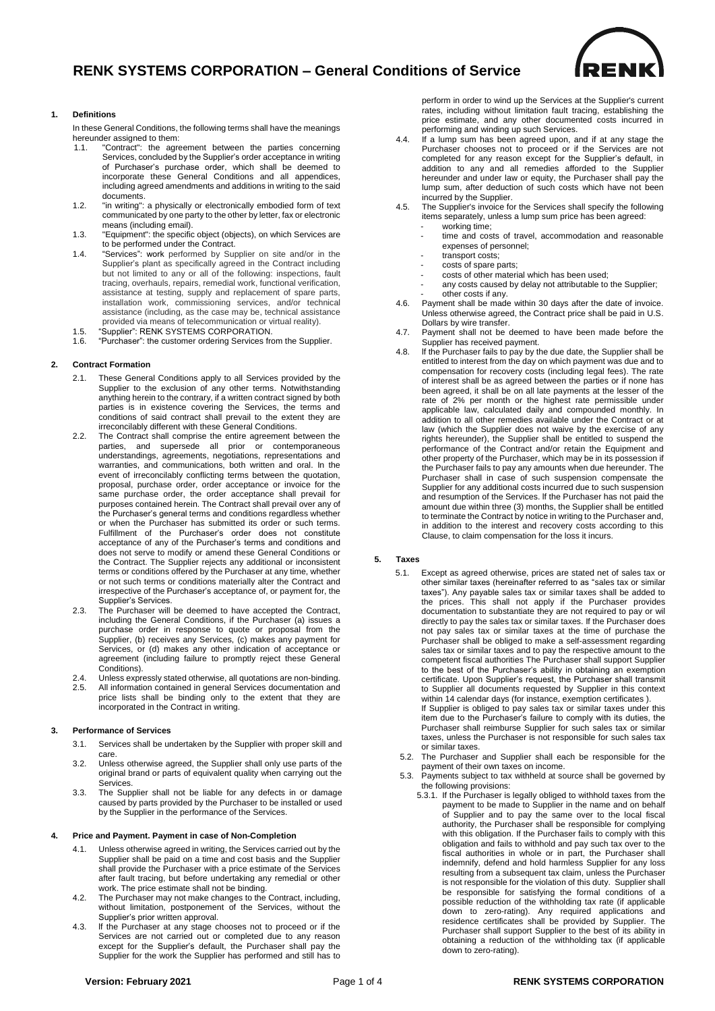

## **1. Definitions**

In these General Conditions, the following terms shall have the meanings hereunder assigned to them:

- "Contract": the agreement between the parties concerning Services, concluded by the Supplier's order acceptance in writing of Purchaser's purchase order, which shall be deemed to incorporate these General Conditions and all appendices, including agreed amendments and additions in writing to the said documents.
- 1.2. "in writing": a physically or electronically embodied form of text communicated by one party to the other by letter, fax or electronic means (including email).
- 1.3. "Equipment": the specific object (objects), on which Services are to be performed under the Contract.
- 1.4. "Services": work performed by Supplier on site and/or in the Supplier's plant as specifically agreed in the Contract including but not limited to any or all of the following: inspections, fault tracing, overhauls, repairs, remedial work, functional verification, assistance at testing, supply and replacement of spare parts, installation work, commissioning services, and/or technical assistance (including, as the case may be, technical assistance provided via means of telecommunication or virtual reality).
- 1.5. "Supplier": RENK SYSTEMS CORPORATION. 1.6. "Purchaser": the customer ordering Services from the Supplier.

## **2. Contract Formation**

- 2.1. These General Conditions apply to all Services provided by the Supplier to the exclusion of any other terms. Notwithstanding anything herein to the contrary, if a written contract signed by both parties is in existence covering the Services, the terms and conditions of said contract shall prevail to the extent they are irreconcilably different with these General Conditions.
- 2.2. The Contract shall comprise the entire agreement between the parties, and supersede all prior or contemporaneous understandings, agreements, negotiations, representations and warranties, and communications, both written and oral. In the event of irreconcilably conflicting terms between the quotation, proposal, purchase order, order acceptance or invoice for the same purchase order, the order acceptance shall prevail for purposes contained herein. The Contract shall prevail over any of the Purchaser's general terms and conditions regardless whether or when the Purchaser has submitted its order or such terms. Fulfillment of the Purchaser's order does not constitute acceptance of any of the Purchaser's terms and conditions and does not serve to modify or amend these General Conditions or the Contract. The Supplier rejects any additional or inconsistent terms or conditions offered by the Purchaser at any time, whether or not such terms or conditions materially alter the Contract and irrespective of the Purchaser's acceptance of, or payment for, the Supplier's Services.
- 2.3. The Purchaser will be deemed to have accepted the Contract, including the General Conditions, if the Purchaser (a) issues a purchase order in response to quote or proposal from the Supplier, (b) receives any Services, (c) makes any payment for Services, or (d) makes any other indication of acceptance or agreement (including failure to promptly reject these General Conditions).
- 2.4. Unless expressly stated otherwise, all quotations are non-binding. 2.5. All information contained in general Services documentation and price lists shall be binding only to the extent that they are incorporated in the Contract in writing.

### **3. Performance of Services**

- 3.1. Services shall be undertaken by the Supplier with proper skill and care.
- 3.2. Unless otherwise agreed, the Supplier shall only use parts of the original brand or parts of equivalent quality when carrying out the Services.
- 3.3. The Supplier shall not be liable for any defects in or damage caused by parts provided by the Purchaser to be installed or used by the Supplier in the performance of the Services.

#### **4. Price and Payment. Payment in case of Non-Completion**

- 4.1. Unless otherwise agreed in writing, the Services carried out by the Supplier shall be paid on a time and cost basis and the Supplier shall provide the Purchaser with a price estimate of the Services after fault tracing, but before undertaking any remedial or other work. The price estimate shall not be binding.
- 4.2. The Purchaser may not make changes to the Contract, including, without limitation, postponement of the Services, without the Supplier's prior written approval.
- 4.3. lf the Purchaser at any stage chooses not to proceed or if the Services are not carried out or completed due to any reason except for the Supplier's default, the Purchaser shall pay the Supplier for the work the Supplier has performed and still has to

perform in order to wind up the Services at the Supplier's current rates, including without limitation fault tracing, establishing the price estimate, and any other documented costs incurred in performing and winding up such Services.

- 4.4. If a lump sum has been agreed upon, and if at any stage the Purchaser chooses not to proceed or if the Services are not completed for any reason except for the Supplier's default, in addition to any and all remedies afforded to the Supplier hereunder and under law or equity, the Purchaser shall pay the lump sum, after deduction of such costs which have not been incurred by the Supplier.
- 4.5. The Supplier's invoice for the Services shall specify the following items separately, unless a lump sum price has been agreed:
	- working time: time and costs of travel, accommodation and reasonable expenses of personnel;
	- transport costs;
	- costs of spare parts;
	- costs of other material which has been used;
	- any costs caused by delay not attributable to the Supplier; other costs if any.
- 4.6. Payment shall be made within 30 days after the date of invoice. Unless otherwise agreed, the Contract price shall be paid in U.S. Dollars by wire transfer.
- 4.7. Payment shall not be deemed to have been made before the Supplier has received payment.
- 4.8. lf the Purchaser fails to pay by the due date, the Supplier shall be entitled to interest from the day on which payment was due and to compensation for recovery costs (including legal fees). The rate of interest shall be as agreed between the parties or if none has been agreed, it shall be on all late payments at the lesser of the rate of 2% per month or the highest rate permissible under applicable law, calculated daily and compounded monthly. In addition to all other remedies available under the Contract or at law (which the Supplier does not waive by the exercise of any rights hereunder), the Supplier shall be entitled to suspend the performance of the Contract and/or retain the Equipment and other property of the Purchaser, which may be in its possession if the Purchaser fails to pay any amounts when due hereunder. The Purchaser shall in case of such suspension compensate the Supplier for any additional costs incurred due to such suspension and resumption of the Services. lf the Purchaser has not paid the amount due within three (3) months, the Supplier shall be entitled to terminate the Contract by notice in writing to the Purchaser and, in addition to the interest and recovery costs according to this Clause, to claim compensation for the loss it incurs.

### **5. Taxes**

5.1. Except as agreed otherwise, prices are stated net of sales tax or other similar taxes (hereinafter referred to as "sales tax or similar taxes"). Any payable sales tax or similar taxes shall be added to the prices. This shall not apply if the Purchaser provides documentation to substantiate they are not required to pay or wil directly to pay the sales tax or similar taxes. If the Purchaser does not pay sales tax or similar taxes at the time of purchase the Purchaser shall be obliged to make a self-assessment regarding sales tax or similar taxes and to pay the respective amount to the competent fiscal authorities The Purchaser shall support Supplier to the best of the Purchaser's ability in obtaining an exemption certificate. Upon Supplier's request, the Purchaser shall transmit to Supplier all documents requested by Supplier in this context within 14 calendar days (for instance, exemption certificates ). If Supplier is obliged to pay sales tax or similar taxes under this item due to the Purchaser's failure to comply with its duties, the

Purchaser shall reimburse Supplier for such sales tax or similar taxes, unless the Purchaser is not responsible for such sales tax or similar taxes.

- 5.2. The Purchaser and Supplier shall each be responsible for the payment of their own taxes on income.
- 5.3. Payments subject to tax withheld at source shall be governed by the following provisions:
	- 5.3.1. If the Purchaser is legally obliged to withhold taxes from the payment to be made to Supplier in the name and on behalf of Supplier and to pay the same over to the local fiscal authority, the Purchaser shall be responsible for complying with this obligation. If the Purchaser fails to comply with this obligation and fails to withhold and pay such tax over to the fiscal authorities in whole or in part, the Purchaser shall indemnify, defend and hold harmless Supplier for any loss resulting from a subsequent tax claim, unless the Purchaser is not responsible for the violation of this duty. Supplier shall be responsible for satisfying the formal conditions of a possible reduction of the withholding tax rate (if applicable down to zero-rating). Any required applications and residence certificates shall be provided by Supplier. The Purchaser shall support Supplier to the best of its ability in obtaining a reduction of the withholding tax (if applicable down to zero-rating).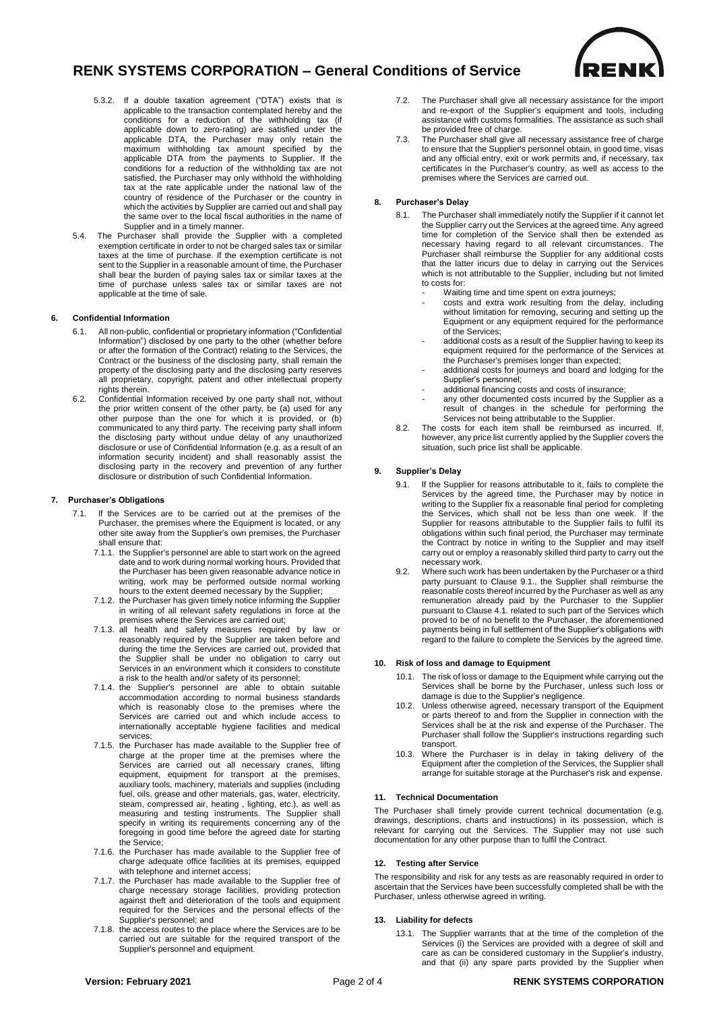

- 5.3.2. If a double taxation agreement ("DTA") exists that is applicable to the transaction contemplated hereby and the conditions for a reduction of the withholding tax (if applicable down to zero-rating) are satisfied under the applicable DTA, the Purchaser may only retain the maximum withholding tax amount specified by the applicable DTA from the payments to Supplier. If the conditions for a reduction of the withholding tax are not satisfied, the Purchaser may only withhold the withholding tax at the rate applicable under the national law of the country of residence of the Purchaser or the country in which the activities by Supplier are carried out and shall pay the same over to the local fiscal authorities in the name of Supplier and in a timely manner.
- 5.4. The Purchaser shall provide the Supplier with a completed exemption certificate in order to not be charged sales tax or similar taxes at the time of purchase. If the exemption certificate is not sent to the Supplier in a reasonable amount of time, the Purchaser shall bear the burden of paying sales tax or similar taxes at the time of purchase unless sales tax or similar taxes are not applicable at the time of sale.

## **6. Confidential Information**

- 6.1. All non-public, confidential or proprietary information ("Confidential Information") disclosed by one party to the other (whether before or after the formation of the Contract) relating to the Services, the Contract or the business of the disclosing party, shall remain the property of the disclosing party and the disclosing party reserves all proprietary, copyright, patent and other intellectual property rights therein.
- 6.2. Confidential Information received by one party shall not, without the prior written consent of the other party, be (a) used for any other purpose than the one for which it is provided, or (b) communicated to any third party. The receiving party shall inform the disclosing party without undue delay of any unauthorized disclosure or use of Confidential Information (e.g. as a result of an information security incident) and shall reasonably assist the disclosing party in the recovery and prevention of any further disclosure or distribution of such Confidential Information.

### **7. Purchaser's Obligations**

- 7.1. lf the Services are to be carried out at the premises of the Purchaser, the premises where the Equipment is located, or any other site away from the Supplier's own premises, the Purchaser shall ensure that:
	- 7.1.1. the Supplier's personnel are able to start work on the agreed date and to work during normal working hours. Provided that the Purchaser has been given reasonable advance notice in writing, work may be performed outside normal working hours to the extent deemed necessary by the Supplier;
	- 7.1.2. the Purchaser has given timely notice informing the Supplier in writing of all relevant safety regulations in force at the premises where the Services are carried out;
	- 7.1.3. all health and safety measures required by law or reasonably required by the Supplier are taken before and during the time the Services are carried out, provided that the Supplier shall be under no obligation to carry out Services in an environment which it considers to constitute a risk to the health and/or safety of its personnel;
	- 7.1.4. the Supplier's personnel are able to obtain suitable accommodation according to normal business standards which is reasonably close to the premises where the Services are carried out and which include access to internationally acceptable hygiene facilities and medical services;
	- 7.1.5. the Purchaser has made available to the Supplier free of charge at the proper time at the premises where the Services are carried out all necessary cranes, lifting equipment, equipment for transport at the premises, auxiliary tools, machinery, materials and supplies (including fuel, oils, grease and other materials, gas, water, electricity, steam, compressed air, heating , lighting, etc.), as well as measuring and testing instruments. The Supplier shall specify in writing its requirements concerning any of the foregoing in good time before the agreed date for starting the Service;
	- 7.1.6. the Purchaser has made available to the Supplier free of charge adequate office facilities at its premises, equipped with telephone and internet access;
	- 7.1.7. the Purchaser has made available to the Supplier free of charge necessary storage facilities, providing protection against theft and deterioration of the tools and equipment required for the Services and the personal effects of the Supplier's personnel; and
	- 7.1.8. the access routes to the place where the Services are to be carried out are suitable for the required transport of the Supplier's personnel and equipment.
- 7.2. The Purchaser shall give all necessary assistance for the import and re-export of the Supplier's equipment and tools, including assistance with customs formalities. The assistance as such shall be provided free of charge.
- 7.3. The Purchaser shall give all necessary assistance free of charge to ensure that the Supplier's personnel obtain, in good time, visas and any official entry, exit or work permits and, if necessary, tax certificates in the Purchaser's country, as well as access to the premises where the Services are carried out.

## **8. Purchaser's Delay**

- 8.1. The Purchaser shall immediately notify the Supplier if it cannot let the Supplier carry out the Services at the agreed time. Any agreed time for completion of the Service shall then be extended as necessary having regard to all relevant circumstances. The Purchaser shall reimburse the Supplier for any additional costs that the latter incurs due to delay in carrying out the Services which is not attributable to the Supplier, including but not limited to costs for:
	- Waiting time and time spent on extra journeys;
	- costs and extra work resulting from the delay, including without limitation for removing, securing and setting up the Equipment or any equipment required for the performance of the Services;
	- additional costs as a result of the Supplier having to keep its equipment required for the performance of the Services at the Purchaser's premises longer than expected;
	- additional costs for journeys and board and lodging for the Supplier's personnel;
	- additional financing costs and costs of insurance;
	- any other documented costs incurred by the Supplier as a result of changes in the schedule for performing the Services not being attributable to the Supplier.
- 8.2. The costs for each item shall be reimbursed as incurred. If, however, any price list currently applied by the Supplier covers the situation, such price list shall be applicable.

### **9. Supplier's Delay**

- 9.1. lf the Supplier for reasons attributable to it, fails to complete the Services by the agreed time, the Purchaser may by notice in writing to the Supplier fix a reasonable final period for completing the Services, which shall not be less than one week. lf the Supplier for reasons attributable to the Supplier fails to fulfil its obligations within such final period, the Purchaser may terminate the Contract by notice in writing to the Supplier and may itself carry out or employ a reasonably skilled third party to carry out the necessary work.
- 9.2. Where such work has been undertaken by the Purchaser or a third party pursuant to Clause 9.1., the Supplier shall reimburse the reasonable costs thereof incurred by the Purchaser as well as any remuneration already paid by the Purchaser to the Supplier pursuant to Clause 4.1. related to such part of the Services which proved to be of no benefit to the Purchaser, the aforementioned payments being in full settlement of the Supplier's obligations with regard to the failure to complete the Services by the agreed time.

## **10. Risk of loss and damage to Equipment**

- 10.1. The risk of loss or damage to the Equipment while carrying out the Services shall be borne by the Purchaser, unless such loss or damage is due to the Supplier's negligence.
- 10.2. Unless otherwise agreed, necessary transport of the Equipment or parts thereof to and from the Supplier in connection with the Services shall be at the risk and expense of the Purchaser. The Purchaser shall follow the Supplier's instructions regarding such transport.
- 10.3. Where the Purchaser is in delay in taking delivery of the Equipment after the completion of the Services, the Supplier shall arrange for suitable storage at the Purchaser's risk and expense.

### **11. Technical Documentation**

The Purchaser shall timely provide current technical documentation (e.g. drawings, descriptions, charts and instructions) in its possession, which is relevant for carrying out the Services. The Supplier may not use such documentation for any other purpose than to fulfil the Contract.

### **12. Testing after Service**

The responsibility and risk for any tests as are reasonably required in order to ascertain that the Services have been successfully completed shall be with the Purchaser, unless otherwise agreed in writing.

### **13. Liability for defects**

13.1. The Supplier warrants that at the time of the completion of the Services (i) the Services are provided with a degree of skill and care as can be considered customary in the Supplier's industry, and that (ii) any spare parts provided by the Supplier when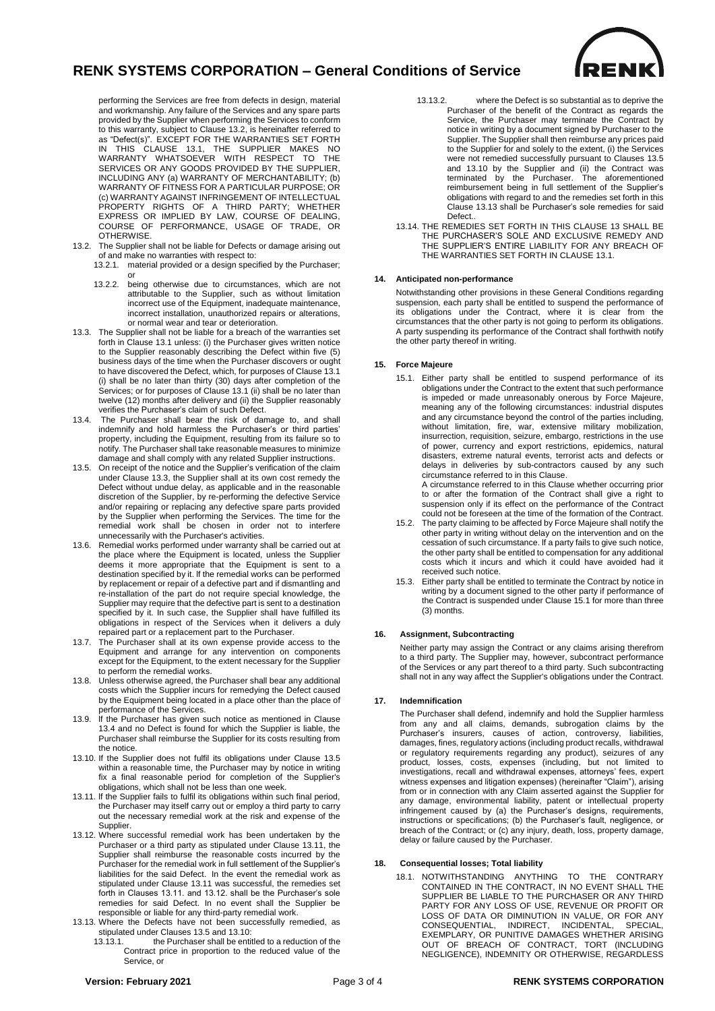

performing the Services are free from defects in design, material and workmanship. Any failure of the Services and any spare parts provided by the Supplier when performing the Services to conform to this warranty, subject to Clause 13.2, is hereinafter referred to as "Defect(s)". EXCEPT FOR THE WARRANTIES SET FORTH IN THIS CLAUSE 13.1, THE SUPPLIER MAKES NO WARRANTY WHATSOEVER WITH RESPECT TO THE SERVICES OR ANY GOODS PROVIDED BY THE SUPPLIER, INCLUDING ANY (a) WARRANTY OF MERCHANTABILITY; (b) WARRANTY OF FITNESS FOR A PARTICULAR PURPOSE; OR (c) WARRANTY AGAINST INFRINGEMENT OF INTELLECTUAL PROPERTY RIGHTS OF A THIRD PARTY; WHETHER EXPRESS OR IMPLIED BY LAW, COURSE OF DEALING, COURSE OF PERFORMANCE, USAGE OF TRADE, OR OTHERWISE.

- 13.2. The Supplier shall not be liable for Defects or damage arising out of and make no warranties with respect to:
	- 13.2.1. material provided or a design specified by the Purchaser; or
	- 13.2.2. being otherwise due to circumstances, which are not attributable to the Supplier, such as without limitation incorrect use of the Equipment, inadequate maintenance, incorrect installation, unauthorized repairs or alterations, or normal wear and tear or deterioration.
- 13.3. The Supplier shall not be liable for a breach of the warranties set forth in Clause 13.1 unless: (i) the Purchaser gives written notice to the Supplier reasonably describing the Defect within five (5) business days of the time when the Purchaser discovers or ought to have discovered the Defect, which, for purposes of Clause 13.1 (i) shall be no later than thirty (30) days after completion of the Services; or for purposes of Clause 13.1 (ii) shall be no later than twelve (12) months after delivery and (ii) the Supplier reasonably verifies the Purchaser's claim of such Defect.
- 13.4. The Purchaser shall bear the risk of damage to, and shall indemnify and hold harmless the Purchaser's or third parties' property, including the Equipment, resulting from its failure so to notify. The Purchaser shall take reasonable measures to minimize damage and shall comply with any related Supplier instructions.
- 13.5. On receipt of the notice and the Supplier's verification of the claim under Clause 13.3, the Supplier shall at its own cost remedy the Defect without undue delay, as applicable and in the reasonable discretion of the Supplier, by re-performing the defective Service and/or repairing or replacing any defective spare parts provided by the Supplier when performing the Services. The time for the remedial work shall be chosen in order not to interfere unnecessarily with the Purchaser's activities.
- 13.6. Remedial works performed under warranty shall be carried out at the place where the Equipment is located, unless the Supplier deems it more appropriate that the Equipment is sent to a destination specified by it. lf the remedial works can be performed by replacement or repair of a defective part and if dismantling and re-installation of the part do not require special knowledge, the Supplier may require that the defective part is sent to a destination specified by it. In such case, the Supplier shall have fulfilled its obligations in respect of the Services when it delivers a duly repaired part or a replacement part to the Purchaser.
- 13.7. The Purchaser shall at its own expense provide access to the Equipment and arrange for any intervention on components except for the Equipment, to the extent necessary for the Supplier to perform the remedial works.
- 13.8. Unless otherwise agreed, the Purchaser shall bear any additional costs which the Supplier incurs for remedying the Defect caused by the Equipment being located in a place other than the place of performance of the Services.
- 13.9. lf the Purchaser has given such notice as mentioned in Clause 13.4 and no Defect is found for which the Supplier is liable, the Purchaser shall reimburse the Supplier for its costs resulting from the notice.
- 13.10. If the Supplier does not fulfil its obligations under Clause 13.5 within a reasonable time, the Purchaser may by notice in writing fix a final reasonable period for completion of the Supplier's obligations, which shall not be less than one week.
- 13.11. lf the Supplier fails to fulfil its obligations within such final period, the Purchaser may itself carry out or employ a third party to carry out the necessary remedial work at the risk and expense of the Supplier.
- 13.12. Where successful remedial work has been undertaken by the Purchaser or a third party as stipulated under Clause 13.11, the Supplier shall reimburse the reasonable costs incurred by the Purchaser for the remedial work in full settlement of the Supplier's liabilities for the said Defect. In the event the remedial work as stipulated under Clause 13.11 was successful, the remedies set forth in Clauses 13.11. and 13.12. shall be the Purchaser's sole remedies for said Defect. In no event shall the Supplier be responsible or liable for any third-party remedial work.
- 13.13. Where the Defects have not been successfully remedied, as stipulated under Clauses 13.5 and 13.10:<br>13.13.1 the Purchaser shall be entit
	- the Purchaser shall be entitled to a reduction of the Contract price in proportion to the reduced value of the Service, or
- 13.13.2. where the Defect is so substantial as to deprive the Purchaser of the benefit of the Contract as regards the Service, the Purchaser may terminate the Contract by notice in writing by a document signed by Purchaser to the Supplier. The Supplier shall then reimburse any prices paid to the Supplier for and solely to the extent, (i) the Services were not remedied successfully pursuant to Clauses 13.5 and 13.10 by the Supplier and (ii) the Contract was terminated by the Purchaser. The aforementioned reimbursement being in full settlement of the Supplier's obligations with regard to and the remedies set forth in this Clause 13.13 shall be Purchaser's sole remedies for said Defect..
- 13.14. THE REMEDIES SET FORTH IN THIS CLAUSE 13 SHALL BE THE PURCHASER'S SOLE AND EXCLUSIVE REMEDY AND THE SUPPLIER'S ENTIRE LIABILITY FOR ANY BREACH OF THE WARRANTIES SET FORTH IN CLAUSE 13.1.

## **14. Anticipated non-performance**

Notwithstanding other provisions in these General Conditions regarding suspension, each party shall be entitled to suspend the performance of its obligations under the Contract, where it is clear from the circumstances that the other party is not going to perform its obligations. A party suspending its performance of the Contract shall forthwith notify the other party thereof in writing.

## **15. Force Majeure**

15.1. Either party shall be entitled to suspend performance of its obligations under the Contract to the extent that such performance is impeded or made unreasonably onerous by Force Majeure, meaning any of the following circumstances: industrial disputes and any circumstance beyond the control of the parties including, without limitation, fire, war, extensive military mobilization, insurrection, requisition, seizure, embargo, restrictions in the use of power, currency and export restrictions, epidemics, natural disasters, extreme natural events, terrorist acts and defects or delays in deliveries by sub-contractors caused by any such circumstance referred to in this Clause.

A circumstance referred to in this Clause whether occurring prior to or after the formation of the Contract shall give a right to suspension only if its effect on the performance of the Contract could not be foreseen at the time of the formation of the Contract.

- 15.2. The party claiming to be affected by Force Majeure shall notify the other party in writing without delay on the intervention and on the cessation of such circumstance. lf a party fails to give such notice, the other party shall be entitled to compensation for any additional costs which it incurs and which it could have avoided had it received such notice.
- 15.3. Either party shall be entitled to terminate the Contract by notice in writing by a document signed to the other party if performance of the Contract is suspended under Clause 15.1 for more than three (3) months.

### **16. Assignment, Subcontracting**

Neither party may assign the Contract or any claims arising therefrom to a third party. The Supplier may, however, subcontract performance of the Services or any part thereof to a third party. Such subcontracting shall not in any way affect the Supplier's obligations under the Contract.

## **17. Indemnification**

The Purchaser shall defend, indemnify and hold the Supplier harmless from any and all claims, demands, subrogation claims by the Purchaser's insurers, causes of action, controversy, liabilities, damages, fines, regulatory actions (including product recalls, withdrawal or regulatory requirements regarding any product), seizures of any product, losses, costs, expenses (including, but not limited to investigations, recall and withdrawal expenses, attorneys' fees, expert witness expenses and litigation expenses) (hereinafter "Claim"), arising from or in connection with any Claim asserted against the Supplier for any damage, environmental liability, patent or intellectual property infringement caused by (a) the Purchaser's designs, requirements, instructions or specifications; (b) the Purchaser's fault, negligence, or breach of the Contract; or (c) any injury, death, loss, property damage, delay or failure caused by the Purchaser.

## **18. Consequential losses; Total liability**

18.1. NOTWITHSTANDING ANYTHING TO THE CONTRARY CONTAINED IN THE CONTRACT, IN NO EVENT SHALL THE SUPPLIER BE LIABLE TO THE PURCHASER OR ANY THIRD PARTY FOR ANY LOSS OF USE, REVENUE OR PROFIT OR LOSS OF DATA OR DIMINUTION IN VALUE, OR FOR ANY CONSEQUENTIAL, INDIRECT, INCIDENTAL, SPECIAL, EXEMPLARY, OR PUNITIVE DAMAGES WHETHER ARISING OUT OF BREACH OF CONTRACT, TORT (INCLUDING NEGLIGENCE), INDEMNITY OR OTHERWISE, REGARDLESS